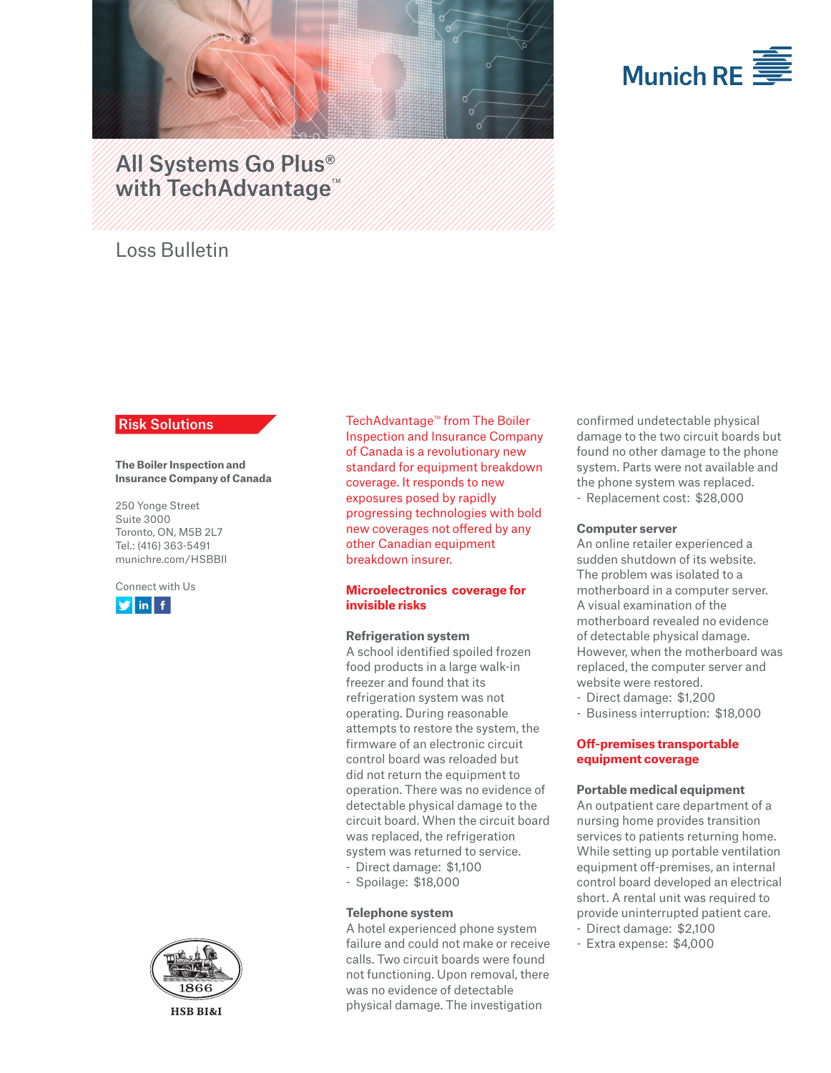



# All Systems Go Plus® with TechAdvantage<sup>™</sup>

## Loss Bulletin

## Risk Solutions

**The Boiler Inspection and Insurance Company of Canada**

250 Yonge Street Suite 3000 Toronto, ON, M5B 2L7 Tel.: (416) 363-5491 munichre.com/HSBBII

Connect with Us





**HSB BI&I** 

TechAdvantage<sup>™</sup> from The Boiler Inspection and Insurance Company of Canada is a revolutionary new standard for equipment breakdown coverage. It responds to new exposures posed by rapidly progressing technologies with bold new coverages not offered by any other Canadian equipment breakdown insurer.

### **Microelectronics coverage for invisible risks**

#### **Refrigeration system**

A school identified spoiled frozen food products in a large walk-in freezer and found that its refrigeration system was not operating. During reasonable attempts to restore the system, the firmware of an electronic circuit control board was reloaded but did not return the equipment to operation. There was no evidence of detectable physical damage to the circuit board. When the circuit board was replaced, the refrigeration system was returned to service. - Direct damage: \$1,100

- Spoilage: \$18,000

## **Telephone system**

A hotel experienced phone system failure and could not make or receive calls. Two circuit boards were found not functioning. Upon removal, there was no evidence of detectable physical damage. The investigation

confirmed undetectable physical damage to the two circuit boards but found no other damage to the phone system. Parts were not available and the phone system was replaced. - Replacement cost: \$28,000

#### **Computer server**

An online retailer experienced a sudden shutdown of its website. The problem was isolated to a motherboard in a computer server. A visual examination of the motherboard revealed no evidence of detectable physical damage. However, when the motherboard was replaced, the computer server and website were restored.

- Direct damage: \$1,200

- Business interruption: \$18,000

## **Off-premises transportable equipment coverage**

#### **Portable medical equipment**

An outpatient care department of a nursing home provides transition services to patients returning home. While setting up portable ventilation equipment off-premises, an internal control board developed an electrical short. A rental unit was required to provide uninterrupted patient care.

- Direct damage: \$2,100
- Extra expense: \$4,000